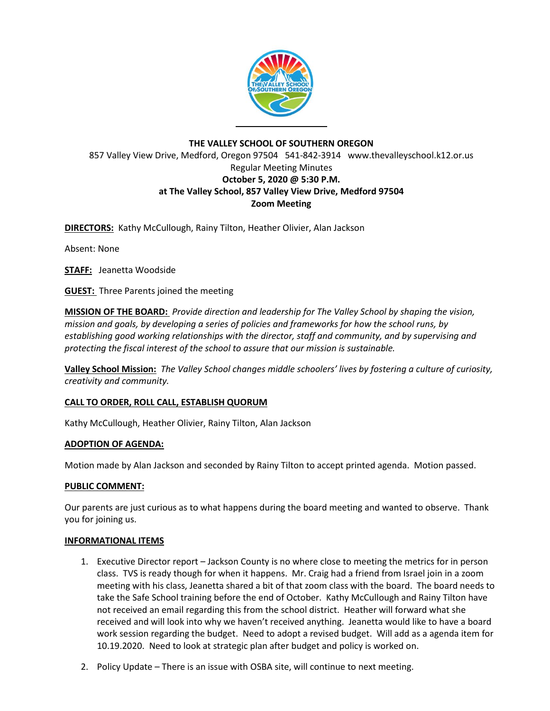

# **THE VALLEY SCHOOL OF SOUTHERN OREGON** 857 Valley View Drive, Medford, Oregon 97504 541-842-3914 www.thevalleyschool.k12.or.us Regular Meeting Minutes **October 5, 2020 @ 5:30 P.M. at The Valley School, 857 Valley View Drive, Medford 97504 Zoom Meeting**

**DIRECTORS:** Kathy McCullough, Rainy Tilton, Heather Olivier, Alan Jackson

Absent: None

**STAFF:** Jeanetta Woodside

**GUEST:** Three Parents joined the meeting

**MISSION OF THE BOARD:** *Provide direction and leadership for The Valley School by shaping the vision, mission and goals, by developing a series of policies and frameworks for how the school runs, by establishing good working relationships with the director, staff and community, and by supervising and protecting the fiscal interest of the school to assure that our mission is sustainable.*

**Valley School Mission:** *The Valley School changes middle schoolers' lives by fostering a culture of curiosity, creativity and community.*

## **CALL TO ORDER, ROLL CALL, ESTABLISH QUORUM**

Kathy McCullough, Heather Olivier, Rainy Tilton, Alan Jackson

## **ADOPTION OF AGENDA:**

Motion made by Alan Jackson and seconded by Rainy Tilton to accept printed agenda. Motion passed.

## **PUBLIC COMMENT:**

Our parents are just curious as to what happens during the board meeting and wanted to observe. Thank you for joining us.

## **INFORMATIONAL ITEMS**

- 1. Executive Director report Jackson County is no where close to meeting the metrics for in person class. TVS is ready though for when it happens. Mr. Craig had a friend from Israel join in a zoom meeting with his class, Jeanetta shared a bit of that zoom class with the board. The board needs to take the Safe School training before the end of October. Kathy McCullough and Rainy Tilton have not received an email regarding this from the school district. Heather will forward what she received and will look into why we haven't received anything. Jeanetta would like to have a board work session regarding the budget. Need to adopt a revised budget. Will add as a agenda item for 10.19.2020. Need to look at strategic plan after budget and policy is worked on.
- 2. Policy Update There is an issue with OSBA site, will continue to next meeting.